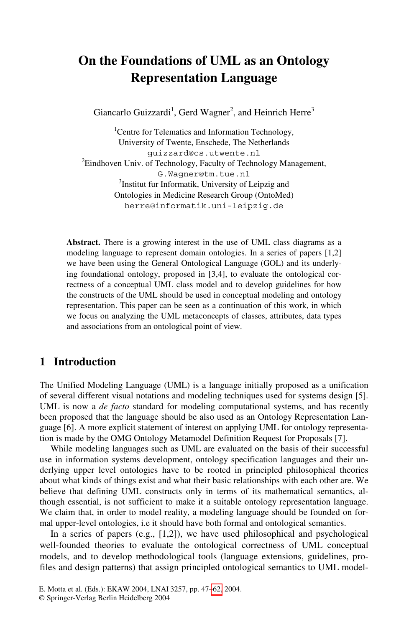# **On the Foundations of UML as an Ontology Representation Language**

Giancarlo Guizzardi<sup>1</sup>, Gerd Wagner<sup>2</sup>, and Heinrich Herre<sup>3</sup>

<sup>1</sup>Centre for Telematics and Information Technology, University of Twente, Enschede, The Netherlands guizzard@cs.utwente.nl  ${}^{2}$ Eindhoven Univ. of Technology, Faculty of Technology Management, G.Wagner@tm.tue.nl <sup>3</sup>Institut fur Informatik, University of Leipzig and Ontologies in Medicine Research Group (OntoMed) herre@informatik.uni-leipzig.de

**Abstract.** There is a growing interest in the use of UML class diagrams as a modeling language to represent domain ontologies. In a series of papers [1,2] we have been using the General Ontological Language (GOL) and its underlying foundational ontology, proposed in [3,4], to evaluate the ontological correctness of a conceptual UML class model and to develop guidelines for how the constructs of the UML should be used in conceptual modeling and ontology representation. This paper can be seen as a continuation of this work, in which we focus on analyzing the UML metaconcepts of classes, attributes, data types and associations from an ontological point of view.

# **1 Introduction**

The Unified Modeling Language (UML) is a language initially proposed as a unification of several different visual notations and modeling techniques used for systems design [5]. UML is now a *de facto* standard for modeling computational systems, and has recently been proposed that the language should be also used as an Ontology Representation Language [6]. A more explicit statement of interest on applying UML for ontology representation is made by the OMG Ontology Metamodel Definition Request for Proposals [7].

While modeling languages such as UML are evaluated on the basis of their successful use in information systems development, ontology specification languages and their underlying upper level ontologies have to be rooted in principled philosophical theories about what kinds of things exist and what their basic relationships with each other are. We believe that defining UML constructs only in terms of its mathematical semantics, although essential, is not sufficient to make it a suitable ontology representation language. We claim that, in order to model reality, a modeling language should be founded on formal upper-level ontologies, i.e it should have both formal and ontological semantics.

In a series of papers (e.g., [1,2]), we have used philosophical and psychological well-founded theories to evaluate the ontological correctness of UML conceptual models, and to develop methodological tools (language extensions, guidelines, profiles and design patterns) that assign principled ontological semantics to UML model-

<sup>©</sup> Springer-Verlag Berlin Heidelberg 2004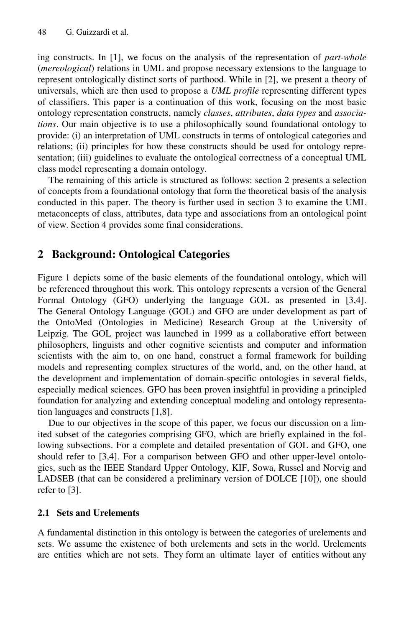ing constructs. In [1], we focus on the analysis of the representation of *part-whole* (*mereological*) relations in UML and propose necessary extensions to the language to represent ontologically distinct sorts of parthood. While in [2], we present a theory of universals, which are then used to propose a *UML profile* representing different types of classifiers. This paper is a continuation of this work, focusing on the most basic ontology representation constructs, namely *classes*, *attributes*, *data types* and *associations*. Our main objective is to use a philosophically sound foundational ontology to provide: (i) an interpretation of UML constructs in terms of ontological categories and relations; (ii) principles for how these constructs should be used for ontology representation; (iii) guidelines to evaluate the ontological correctness of a conceptual UML class model representing a domain ontology.

The remaining of this article is structured as follows: section 2 presents a selection of concepts from a foundational ontology that form the theoretical basis of the analysis conducted in this paper. The theory is further used in section 3 to examine the UML metaconcepts of class, attributes, data type and associations from an ontological point of view. Section 4 provides some final considerations.

# **2 Background: Ontological Categories**

Figure 1 depicts some of the basic elements of the foundational ontology, which will be referenced throughout this work. This ontology represents a version of the General Formal Ontology (GFO) underlying the language GOL as presented in [3,4]. The General Ontology Language (GOL) and GFO are under development as part of the OntoMed (Ontologies in Medicine) Research Group at the University of Leipzig. The GOL project was launched in 1999 as a collaborative effort between philosophers, linguists and other cognitive scientists and computer and information scientists with the aim to, on one hand, construct a formal framework for building models and representing complex structures of the world, and, on the other hand, at the development and implementation of domain-specific ontologies in several fields, especially medical sciences. GFO has been proven insightful in providing a principled foundation for analyzing and extending conceptual modeling and ontology representation languages and constructs [1,8].

Due to our objectives in the scope of this paper, we focus our discussion on a limited subset of the categories comprising GFO, which are briefly explained in the following subsections. For a complete and detailed presentation of GOL and GFO, one should refer to [3,4]. For a comparison between GFO and other upper-level ontologies, such as the IEEE Standard Upper Ontology, KIF, Sowa, Russel and Norvig and LADSEB (that can be considered a preliminary version of DOLCE [10]), one should refer to [3].

## **2.1 Sets and Urelements**

A fundamental distinction in this ontology is between the categories of urelements and sets. We assume the existence of both urelements and sets in the world. Urelements are entities which are not sets. They form an ultimate layer of entities without any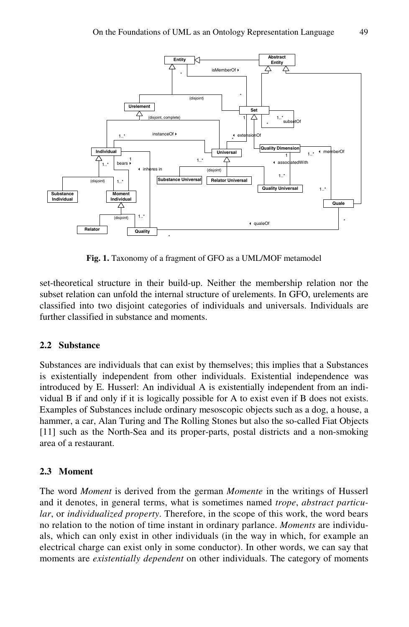

Fig. 1. Taxonomy of a fragment of GFO as a UML/MOF metamodel

set-theoretical structure in their build-up. Neither the membership relation nor the subset relation can unfold the internal structure of urelements. In GFO, urelements are classified into two disjoint categories of individuals and universals. Individuals are further classified in substance and moments.

### **2.2 Substance**

Substances are individuals that can exist by themselves; this implies that a Substances is existentially independent from other individuals. Existential independence was introduced by E. Husserl: An individual A is existentially independent from an individual B if and only if it is logically possible for A to exist even if B does not exists. Examples of Substances include ordinary mesoscopic objects such as a dog, a house, a hammer, a car, Alan Turing and The Rolling Stones but also the so-called Fiat Objects [11] such as the North-Sea and its proper-parts, postal districts and a non-smoking area of a restaurant.

### **2.3 Moment**

The word *Moment* is derived from the german *Momente* in the writings of Husserl and it denotes, in general terms, what is sometimes named *trope*, *abstract particular*, or *individualized property*. Therefore, in the scope of this work, the word bears no relation to the notion of time instant in ordinary parlance. *Moments* are individuals, which can only exist in other individuals (in the way in which, for example an electrical charge can exist only in some conductor). In other words, we can say that moments are *existentially dependent* on other individuals. The category of moments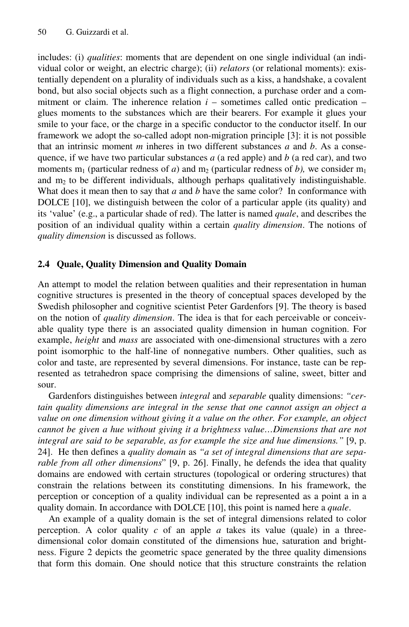includes: (i) *qualities*: moments that are dependent on one single individual (an individual color or weight, an electric charge); (ii) *relators* (or relational moments): existentially dependent on a plurality of individuals such as a kiss, a handshake, a covalent bond, but also social objects such as a flight connection, a purchase order and a commitment or claim. The inherence relation  $i$  – sometimes called ontic predication – glues moments to the substances which are their bearers. For example it glues your smile to your face, or the charge in a specific conductor to the conductor itself. In our framework we adopt the so-called adopt non-migration principle [3]: it is not possible that an intrinsic moment *m* inheres in two different substances *a* and *b*. As a consequence, if we have two particular substances *a* (a red apple) and *b* (a red car), and two moments  $m_1$  (particular redness of *a*) and  $m_2$  (particular redness of *b*), we consider  $m_1$ and  $m<sub>2</sub>$  to be different individuals, although perhaps qualitatively indistinguishable. What does it mean then to say that *a* and *b* have the same color? In conformance with DOLCE [10], we distinguish between the color of a particular apple (its quality) and its 'value' (e.g., a particular shade of red). The latter is named *quale*, and describes the position of an individual quality within a certain *quality dimension*. The notions of *quality dimension* is discussed as follows.

## **2.4 Quale, Quality Dimension and Quality Domain**

An attempt to model the relation between qualities and their representation in human cognitive structures is presented in the theory of conceptual spaces developed by the Swedish philosopher and cognitive scientist Peter Gardenfors [9]. The theory is based on the notion of *quality dimension*. The idea is that for each perceivable or conceivable quality type there is an associated quality dimension in human cognition. For example, *height* and *mass* are associated with one-dimensional structures with a zero point isomorphic to the half-line of nonnegative numbers. Other qualities, such as color and taste, are represented by several dimensions. For instance, taste can be represented as tetrahedron space comprising the dimensions of saline, sweet, bitter and sour.

Gardenfors distinguishes between *integral* and *separable* quality dimensions: *"certain quality dimensions are integral in the sense that one cannot assign an object a value on one dimension without giving it a value on the other. For example, an object cannot be given a hue without giving it a brightness value…Dimensions that are not integral are said to be separable, as for example the size and hue dimensions."* [9, p. 24]. He then defines a *quality domain* as *"a set of integral dimensions that are separable from all other dimensions*" [9, p. 26]. Finally, he defends the idea that quality domains are endowed with certain structures (topological or ordering structures) that constrain the relations between its constituting dimensions. In his framework, the perception or conception of a quality individual can be represented as a point a in a quality domain. In accordance with DOLCE [10], this point is named here a *quale*.

An example of a quality domain is the set of integral dimensions related to color perception. A color quality *c* of an apple *a* takes its value (quale) in a threedimensional color domain constituted of the dimensions hue, saturation and brightness. Figure 2 depicts the geometric space generated by the three quality dimensions that form this domain. One should notice that this structure constraints the relation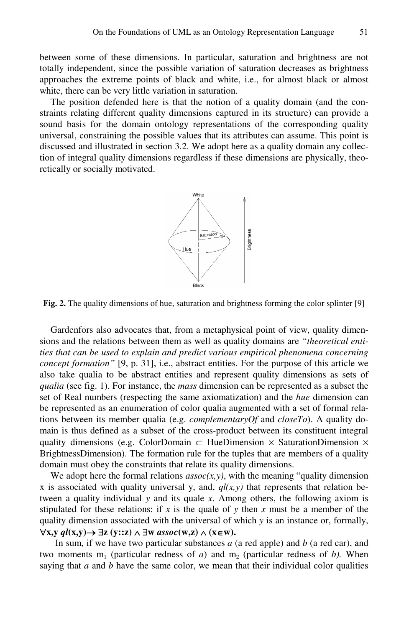between some of these dimensions. In particular, saturation and brightness are not totally independent, since the possible variation of saturation decreases as brightness approaches the extreme points of black and white, i.e., for almost black or almost white, there can be very little variation in saturation.

The position defended here is that the notion of a quality domain (and the constraints relating different quality dimensions captured in its structure) can provide a sound basis for the domain ontology representations of the corresponding quality universal, constraining the possible values that its attributes can assume. This point is discussed and illustrated in section 3.2. We adopt here as a quality domain any collection of integral quality dimensions regardless if these dimensions are physically, theoretically or socially motivated.



**Fig. 2.** The quality dimensions of hue, saturation and brightness forming the color splinter [9]

Gardenfors also advocates that, from a metaphysical point of view, quality dimensions and the relations between them as well as quality domains are *"theoretical entities that can be used to explain and predict various empirical phenomena concerning concept formation"* [9, p. 31], i.e., abstract entities. For the purpose of this article we also take qualia to be abstract entities and represent quality dimensions as sets of *qualia* (see fig. 1). For instance, the *mass* dimension can be represented as a subset the set of Real numbers (respecting the same axiomatization) and the *hue* dimension can be represented as an enumeration of color qualia augmented with a set of formal relations between its member qualia (e.g. *complementaryOf* and *closeTo*). A quality domain is thus defined as a subset of the cross-product between its constituent integral quality dimensions (e.g. ColorDomain  $\subset$  HueDimension  $\times$  SaturationDimension  $\times$ BrightnessDimension). The formation rule for the tuples that are members of a quality domain must obey the constraints that relate its quality dimensions.

We adopt here the formal relations  $assoc(x, y)$ , with the meaning "quality dimension" x is associated with quality universal y, and,  $ql(x,y)$  that represents that relation between a quality individual *y* and its quale *x*. Among others, the following axiom is stipulated for these relations: if  $x$  is the quale of  $y$  then  $x$  must be a member of the quality dimension associated with the universal of which *y* is an instance or, formally,  $\forall$ **x,y** *a* $l$ (**x,v**) $\rightarrow$   $\exists$ **z** (**y**:**z**)  $\land$   $\exists$ **w** *assoc*(**w,z**)  $\land$  (**x** $\in$ **w**).

 In sum, if we have two particular substances *a* (a red apple) and *b* (a red car), and two moments  $m_1$  (particular redness of *a*) and  $m_2$  (particular redness of *b*). When saying that *a* and *b* have the same color, we mean that their individual color qualities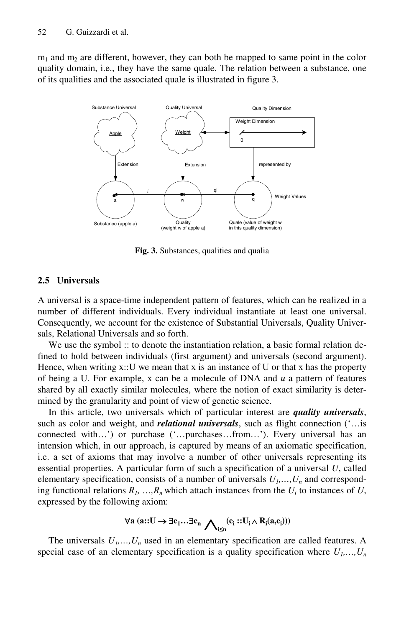$m_1$  and  $m_2$  are different, however, they can both be mapped to same point in the color quality domain, i.e., they have the same quale. The relation between a substance, one of its qualities and the associated quale is illustrated in figure 3.



**Fig. 3.** Substances, qualities and qualia

#### **2.5 Universals**

A universal is a space-time independent pattern of features, which can be realized in a number of different individuals. Every individual instantiate at least one universal. Consequently, we account for the existence of Substantial Universals, Quality Universals, Relational Universals and so forth.

We use the symbol :: to denote the instantiation relation, a basic formal relation defined to hold between individuals (first argument) and universals (second argument). Hence, when writing  $x::U$  we mean that x is an instance of U or that x has the property of being a U. For example, x can be a molecule of DNA and *u* a pattern of features shared by all exactly similar molecules, where the notion of exact similarity is determined by the granularity and point of view of genetic science.

In this article, two universals which of particular interest are *quality universals*, such as color and weight, and *relational universals*, such as flight connection ('…is connected with…') or purchase ('…purchases…from…'). Every universal has an intension which, in our approach, is captured by means of an axiomatic specification, i.e. a set of axioms that may involve a number of other universals representing its essential properties. A particular form of such a specification of a universal *U*, called elementary specification, consists of a number of universals  $U_1, \ldots, U_n$  and corresponding functional relations  $R_1$ , ..., $R_n$  which attach instances from the  $U_i$  to instances of  $U$ , expressed by the following axiom:

$$
\forall a \ (a::U \rightarrow \exists e_1...\exists e_n \bigwedge\nolimits_{i\leq n} (e_i::U_i \wedge R_i(a,e_i)))
$$

The universals  $U_1, \ldots, U_n$  used in an elementary specification are called features. A special case of an elementary specification is a quality specification where  $U_1, \ldots, U_n$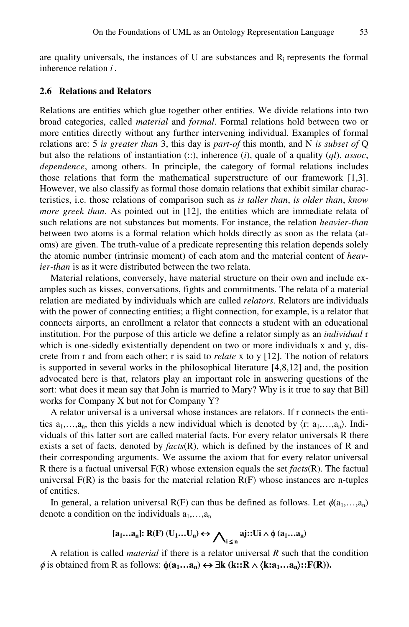are quality universals, the instances of  $U$  are substances and  $R_i$  represents the formal inherence relation *i* .

#### **2.6 Relations and Relators**

Relations are entities which glue together other entities. We divide relations into two broad categories, called *material* and *formal*. Formal relations hold between two or more entities directly without any further intervening individual. Examples of formal relations are: 5 *is greater than* 3, this day is *part-of* this month, and N *is subset of* Q but also the relations of instantiation (::), inherence (*i*), quale of a quality (*ql*), *assoc*, *dependence*, among others. In principle, the category of formal relations includes those relations that form the mathematical superstructure of our framework [1,3]. However, we also classify as formal those domain relations that exhibit similar characteristics, i.e. those relations of comparison such as *is taller than*, *is older than*, *know more greek than*. As pointed out in [12], the entities which are immediate relata of such relations are not substances but moments. For instance, the relation *heavier-than* between two atoms is a formal relation which holds directly as soon as the relata (atoms) are given. The truth-value of a predicate representing this relation depends solely the atomic number (intrinsic moment) of each atom and the material content of *heavier-than* is as it were distributed between the two relata.

Material relations, conversely, have material structure on their own and include examples such as kisses, conversations, fights and commitments. The relata of a material relation are mediated by individuals which are called *relators*. Relators are individuals with the power of connecting entities; a flight connection, for example, is a relator that connects airports, an enrollment a relator that connects a student with an educational institution. For the purpose of this article we define a relator simply as an *individual* r which is one-sidedly existentially dependent on two or more individuals x and y, discrete from r and from each other; r is said to *relate* x to y [12]. The notion of relators is supported in several works in the philosophical literature [4,8,12] and, the position advocated here is that, relators play an important role in answering questions of the sort: what does it mean say that John is married to Mary? Why is it true to say that Bill works for Company X but not for Company Y?

A relator universal is a universal whose instances are relators. If r connects the entities  $a_1,...,a_n$ , then this yields a new individual which is denoted by  $\langle r: a_1,...,a_n \rangle$ . Individuals of this latter sort are called material facts. For every relator universals R there exists a set of facts, denoted by *facts*(R), which is defined by the instances of R and their corresponding arguments. We assume the axiom that for every relator universal R there is a factual universal F(R) whose extension equals the set *facts*(R). The factual universal  $F(R)$  is the basis for the material relation  $R(F)$  whose instances are n-tuples of entities.

In general, a relation universal R(F) can thus be defined as follows. Let  $\phi(a_1,...,a_n)$ denote a condition on the individuals  $a_1, \ldots, a_n$ 

$$
[a_1...a_n]\hbox{:}\ R(F)\left(U_1...U_n\right)\leftrightarrow\bigwedge\nolimits_{i\,\leq\,n} a j \hbox{:}\ U\hbox{:}\ \wedge \phi\left(a_1...a_n\right)
$$

A relation is called *material* if there is a relator universal *R* such that the condition  $\phi$  is obtained from R as follows:  $\phi$ ( $a_1...a_n$ )  $\leftrightarrow \exists k$  ( $k::R \wedge \langle k:a_1...a_n\rangle::F(R)$ ).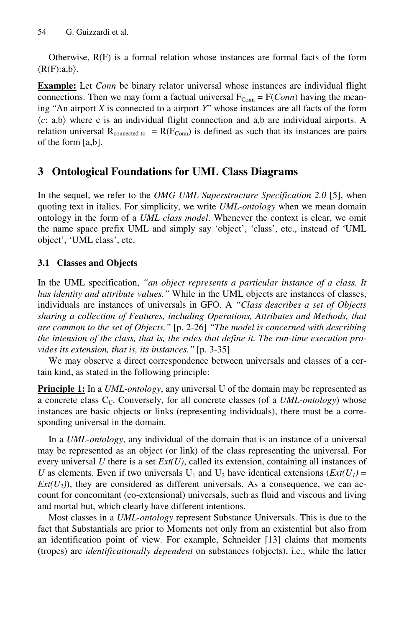Otherwise, R(F) is a formal relation whose instances are formal facts of the form  $\langle R(F):a,b\rangle.$ 

**Example:** Let *Conn* be binary relator universal whose instances are individual flight connections. Then we may form a factual universal  $F_{Conn} = F(Conn)$  having the meaning "An airport *X* is connected to a airport *Y*" whose instances are all facts of the form ¢*c*: a,b² where c is an individual flight connection and a,b are individual airports. A relation universal  $R_{connected-to} = R(F_{Conn})$  is defined as such that its instances are pairs of the form [a,b].

# **3 Ontological Foundations for UML Class Diagrams**

In the sequel, we refer to the *OMG UML Superstructure Specification 2.0* [5], when quoting text in italics. For simplicity, we write *UML-ontology* when we mean domain ontology in the form of a *UML class model*. Whenever the context is clear, we omit the name space prefix UML and simply say 'object', 'class', etc., instead of 'UML object', 'UML class', etc.

# **3.1 Classes and Objects**

In the UML specification, *"an object represents a particular instance of a class. It has identity and attribute values."* While in the UML objects are instances of classes, individuals are instances of universals in GFO. A *"Class describes a set of Objects sharing a collection of Features, including Operations, Attributes and Methods, that are common to the set of Objects."* [p. 2-26] *"The model is concerned with describing the intension of the class, that is, the rules that define it. The run-time execution provides its extension, that is, its instances."* [p. 3-35]

We may observe a direct correspondence between universals and classes of a certain kind, as stated in the following principle:

**Principle 1:** In a *UML-ontology*, any universal U of the domain may be represented as a concrete class C<sub>U</sub>. Conversely, for all concrete classes (of a *UML-ontology*) whose instances are basic objects or links (representing individuals), there must be a corresponding universal in the domain.

In a *UML-ontology*, any individual of the domain that is an instance of a universal may be represented as an object (or link) of the class representing the universal. For every universal *U* there is a set *Ext(U)*, called its extension, containing all instances of *U* as elements. Even if two universals  $U_1$  and  $U_2$  have identical extensions (*Ext(U<sub>1</sub>)* =  $Ext(U_2)$ ), they are considered as different universals. As a consequence, we can account for concomitant (co-extensional) universals, such as fluid and viscous and living and mortal but, which clearly have different intentions.

Most classes in a *UML-ontology* represent Substance Universals. This is due to the fact that Substantials are prior to Moments not only from an existential but also from an identification point of view. For example, Schneider [13] claims that moments (tropes) are *identificationally dependent* on substances (objects), i.e., while the latter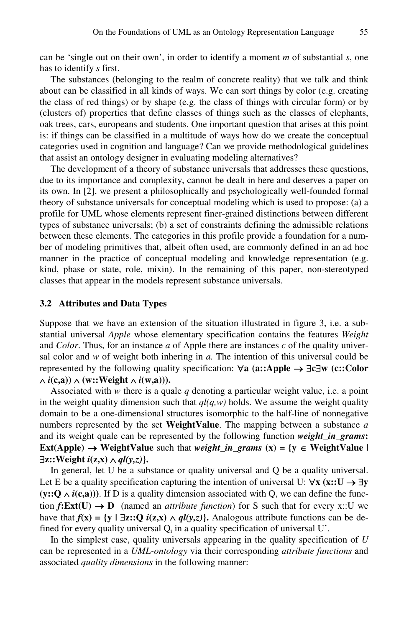can be 'single out on their own', in order to identify a moment *m* of substantial *s*, one has to identify *s* first.

The substances (belonging to the realm of concrete reality) that we talk and think about can be classified in all kinds of ways. We can sort things by color (e.g. creating the class of red things) or by shape (e.g. the class of things with circular form) or by (clusters of) properties that define classes of things such as the classes of elephants, oak trees, cars, europeans and students. One important question that arises at this point is: if things can be classified in a multitude of ways how do we create the conceptual categories used in cognition and language? Can we provide methodological guidelines that assist an ontology designer in evaluating modeling alternatives?

The development of a theory of substance universals that addresses these questions, due to its importance and complexity, cannot be dealt in here and deserves a paper on its own. In [2], we present a philosophically and psychologically well-founded formal theory of substance universals for conceptual modeling which is used to propose: (a) a profile for UML whose elements represent finer-grained distinctions between different types of substance universals; (b) a set of constraints defining the admissible relations between these elements. The categories in this profile provide a foundation for a number of modeling primitives that, albeit often used, are commonly defined in an ad hoc manner in the practice of conceptual modeling and knowledge representation (e.g. kind, phase or state, role, mixin). In the remaining of this paper, non-stereotyped classes that appear in the models represent substance universals.

#### **3.2 Attributes and Data Types**

Suppose that we have an extension of the situation illustrated in figure 3, i.e. a substantial universal *Apple* whose elementary specification contains the features *Weight* and *Color*. Thus, for an instance *a* of Apple there are instances *c* of the quality universal color and *w* of weight both inhering in *a.* The intention of this universal could be represented by the following quality specification:  $\forall a$  (a::Apple  $\rightarrow \exists c \exists w$  (c::Color  $\land$  *i*(c,a))  $\land$  (w::Weight  $\land$  *i*(w,a))).

Associated with *w* there is a quale *q* denoting a particular weight value, i.e. a point in the weight quality dimension such that  $ql(q, w)$  holds. We assume the weight quality domain to be a one-dimensional structures isomorphic to the half-line of nonnegative numbers represented by the set **WeightValue**. The mapping between a substance *a* and its weight quale can be represented by the following function *weight\_in\_grams***: Ext(Apple)**  $\rightarrow$  WeightValue such that *weight\_in\_grams* (x) = {y  $\in$  WeightValue |  $\exists z$ ::Weight *i*(*z*,*x*)  $\land$  *ql*(*y*,*z*)}.

In general, let U be a substance or quality universal and Q be a quality universal. Let E be a quality specification capturing the intention of universal U:  $\forall x (x::U \rightarrow \exists y$  $(y::Q \wedge i(c,a))$ ). If D is a quality dimension associated with Q, we can define the function  $f:Ext(U) \rightarrow D$  (named an *attribute function*) for S such that for every x::U we have that  $f(x) = {y | \exists z: Q \ i(z,x) \land qI(y,z)}$ . Analogous attribute functions can be defined for every quality universal  $Q_i$  in a quality specification of universal  $U'$ .

In the simplest case, quality universals appearing in the quality specification of *U* can be represented in a *UML-ontology* via their corresponding *attribute functions* and associated *quality dimensions* in the following manner: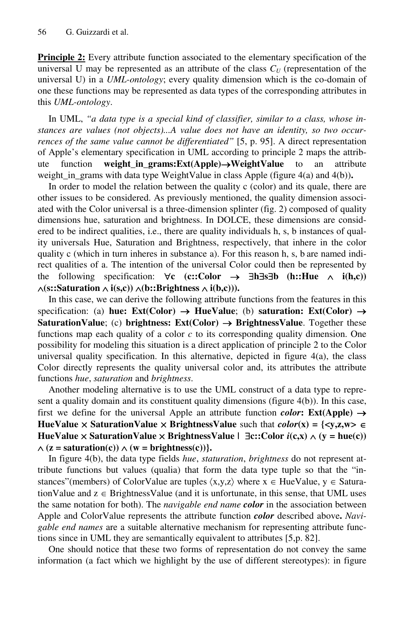**Principle 2:** Every attribute function associated to the elementary specification of the universal U may be represented as an attribute of the class  $C<sub>U</sub>$  (representation of the universal U) in a *UML-ontology*; every quality dimension which is the co-domain of one these functions may be represented as data types of the corresponding attributes in this *UML-ontology*.

In UML, *"a data type is a special kind of classifier, similar to a class, whose instances are values (not objects)...A value does not have an identity, so two occurrences of the same value cannot be differentiated"* [5, p. 95]. A direct representation of Apple's elementary specification in UML according to principle 2 maps the attribute function **weight\_in\_grams:Ext(Apple)->WeightValue** to an attribute weight\_in\_grams with data type WeightValue in class Apple (figure 4(a) and 4(b))**.**

In order to model the relation between the quality c (color) and its quale, there are other issues to be considered. As previously mentioned, the quality dimension associated with the Color universal is a three-dimension splinter (fig. 2) composed of quality dimensions hue, saturation and brightness. In DOLCE, these dimensions are considered to be indirect qualities, i.e., there are quality individuals h, s, b instances of quality universals Hue, Saturation and Brightness, respectively, that inhere in the color quality c (which in turn inheres in substance a). For this reason h, s, b are named indirect qualities of a. The intention of the universal Color could then be represented by the following specification:  $\forall$ **c** (**c**::**Color**  $\rightarrow$  **<b>hhsb** (**h**::**Hue**  $\land$  **i**(**h,c**))  $\wedge$ (s::Saturation  $\wedge$  i(s,c))  $\wedge$ (b::Brightness  $\wedge$  i(b,c))).

In this case, we can derive the following attribute functions from the features in this specification: (a) **hue:** Ext(Color)  $\rightarrow$  HueValue; (b) **saturation:** Ext(Color)  $\rightarrow$ **SaturationValue**; (c) **brightness:** Ext(Color)  $\rightarrow$  BrightnessValue. Together these functions map each quality of a color *c* to its corresponding quality dimension. One possibility for modeling this situation is a direct application of principle 2 to the Color universal quality specification. In this alternative, depicted in figure 4(a), the class Color directly represents the quality universal color and, its attributes the attribute functions *hue*, *saturation* and *brightness*.

Another modeling alternative is to use the UML construct of a data type to represent a quality domain and its constituent quality dimensions (figure 4(b)). In this case, first we define for the universal Apple an attribute function *color*: **Ext(Apple)**  $\rightarrow$ **HueValue**  $\times$  **SaturationValue**  $\times$  **BrightnessValue** such that  $color(x) = \{ \langle y, z, w \rangle \in$ **HueValue**  $\times$  **SaturationValue**  $\times$  **BrightnessValue**  $\mid \exists c::Color \ i(c,x) \land (y = hue(c))$  $\wedge$  (**z** = saturation(**c**))  $\wedge$  (**w** = brightness(**c**))}.

In figure 4(b), the data type fields *hue*, *staturation*, *brightness* do not represent attribute functions but values (qualia) that form the data type tuple so that the "instances"(members) of ColorValue are tuples  $\langle x,y,z \rangle$  where  $x \in H$ ueValue,  $y \in S$ aturationValue and  $z \in$  BrightnessValue (and it is unfortunate, in this sense, that UML uses the same notation for both). The *navigable end name color* in the association between Apple and ColorValue represents the attribute function *color* described above**.** *Navigable end names* are a suitable alternative mechanism for representing attribute functions since in UML they are semantically equivalent to attributes [5,p. 82].

One should notice that these two forms of representation do not convey the same information (a fact which we highlight by the use of different stereotypes): in figure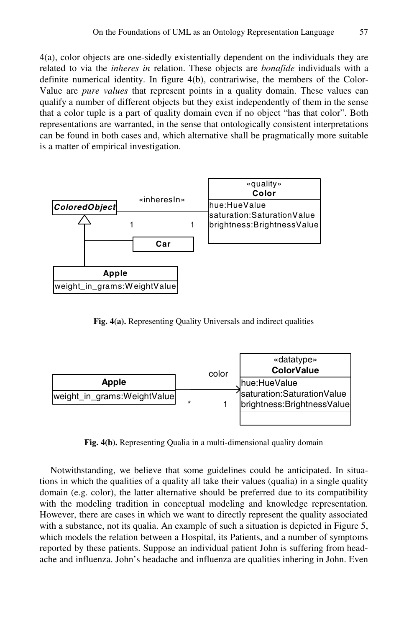4(a), color objects are one-sidedly existentially dependent on the individuals they are related to via the *inheres in* relation. These objects are *bonafide* individuals with a definite numerical identity. In figure 4(b), contrariwise, the members of the Color-Value are *pure values* that represent points in a quality domain. These values can qualify a number of different objects but they exist independently of them in the sense that a color tuple is a part of quality domain even if no object "has that color". Both representations are warranted, in the sense that ontologically consistent interpretations can be found in both cases and, which alternative shall be pragmatically more suitable is a matter of empirical investigation.



**Fig. 4(a).** Representing Quality Universals and indirect qualities



**Fig. 4(b).** Representing Qualia in a multi-dimensional quality domain

Notwithstanding, we believe that some guidelines could be anticipated. In situations in which the qualities of a quality all take their values (qualia) in a single quality domain (e.g. color), the latter alternative should be preferred due to its compatibility with the modeling tradition in conceptual modeling and knowledge representation. However, there are cases in which we want to directly represent the quality associated with a substance, not its qualia. An example of such a situation is depicted in Figure 5, which models the relation between a Hospital, its Patients, and a number of symptoms reported by these patients. Suppose an individual patient John is suffering from headache and influenza. John's headache and influenza are qualities inhering in John. Even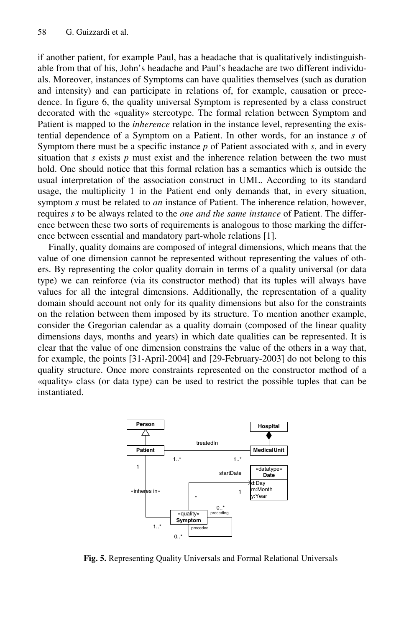if another patient, for example Paul, has a headache that is qualitatively indistinguishable from that of his, John's headache and Paul's headache are two different individuals. Moreover, instances of Symptoms can have qualities themselves (such as duration and intensity) and can participate in relations of, for example, causation or precedence. In figure 6, the quality universal Symptom is represented by a class construct decorated with the «quality» stereotype. The formal relation between Symptom and Patient is mapped to the *inherence* relation in the instance level, representing the existential dependence of a Symptom on a Patient. In other words, for an instance *s* of Symptom there must be a specific instance *p* of Patient associated with *s*, and in every situation that  $s$  exists  $p$  must exist and the inherence relation between the two must hold. One should notice that this formal relation has a semantics which is outside the usual interpretation of the association construct in UML. According to its standard usage, the multiplicity 1 in the Patient end only demands that, in every situation, symptom *s* must be related to *an* instance of Patient. The inherence relation, however, requires *s* to be always related to the *one and the same instance* of Patient. The difference between these two sorts of requirements is analogous to those marking the difference between essential and mandatory part-whole relations [1].

Finally, quality domains are composed of integral dimensions, which means that the value of one dimension cannot be represented without representing the values of others. By representing the color quality domain in terms of a quality universal (or data type) we can reinforce (via its constructor method) that its tuples will always have values for all the integral dimensions. Additionally, the representation of a quality domain should account not only for its quality dimensions but also for the constraints on the relation between them imposed by its structure. To mention another example, consider the Gregorian calendar as a quality domain (composed of the linear quality dimensions days, months and years) in which date qualities can be represented. It is clear that the value of one dimension constrains the value of the others in a way that, for example, the points [31-April-2004] and [29-February-2003] do not belong to this quality structure. Once more constraints represented on the constructor method of a «quality» class (or data type) can be used to restrict the possible tuples that can be instantiated.



**Fig. 5.** Representing Quality Universals and Formal Relational Universals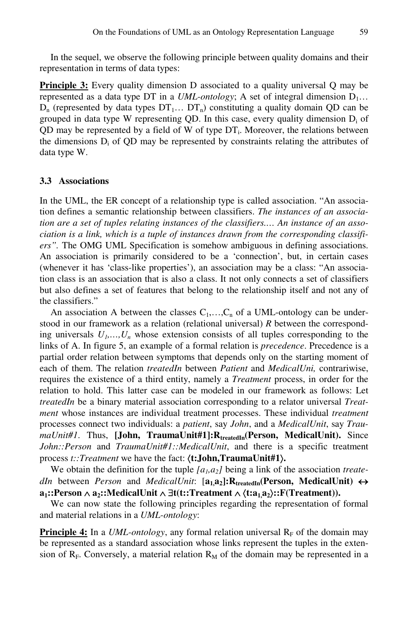In the sequel, we observe the following principle between quality domains and their representation in terms of data types:

**Principle 3:** Every quality dimension D associated to a quality universal Q may be represented as a data type DT in a  $UML\text{-} ontology$ ; A set of integral dimension  $D_1...$  $D_n$  (represented by data types  $DT_1...DT_n$ ) constituting a quality domain QD can be grouped in data type W representing QD. In this case, every quality dimension  $D_i$  of  $QD$  may be represented by a field of W of type  $DT_i$ . Moreover, the relations between the dimensions  $D_i$  of QD may be represented by constraints relating the attributes of data type W.

#### **3.3 Associations**

In the UML, the ER concept of a relationship type is called association. "An association defines a semantic relationship between classifiers. *The instances of an association are a set of tuples relating instances of the classifiers.… An instance of an association is a link, which is a tuple of instances drawn from the corresponding classifiers".* The OMG UML Specification is somehow ambiguous in defining associations. An association is primarily considered to be a 'connection', but, in certain cases (whenever it has 'class-like properties'), an association may be a class: "An association class is an association that is also a class. It not only connects a set of classifiers but also defines a set of features that belong to the relationship itself and not any of the classifiers."

An association A between the classes  $C_1, \ldots, C_n$  of a UML-ontology can be understood in our framework as a relation (relational universal) *R* between the corresponding universals  $U_1, \ldots, U_n$  whose extension consists of all tuples corresponding to the links of A. In figure 5, an example of a formal relation is *precedence*. Precedence is a partial order relation between symptoms that depends only on the starting moment of each of them. The relation *treatedIn* between *Patient* and *MedicalUni,* contrariwise, requires the existence of a third entity, namely a *Treatment* process, in order for the relation to hold. This latter case can be modeled in our framework as follows: Let *treatedIn* be a binary material association corresponding to a relator universal *Treatment* whose instances are individual treatment processes. These individual *treatment* processes connect two individuals: a *patient*, say *John*, and a *MedicalUnit*, say *TraumaUnit#1*. Thus, **[John, TraumaUnit#1]:R**<sub>treatedIn</sub>(Person, MedicalUnit). Since *John::Person* and *TraumaUnit#1::MedicalUnit*, and there is a specific treatment process *t::Treatment* we have the fact:  $\langle \textbf{t}: \textbf{John}, \textbf{TraumaUnit} \textbf{#1} \rangle$ .

We obtain the definition for the tuple [a<sub>1</sub>,a<sub>2</sub>] being a link of the association *treatedIn* between *Person* and *MedicalUnit*:  $[a_1, a_2]$ :  $R_{treatedIn}$  (Person, MedicalUnit)  $\leftrightarrow$  $a_1$ ::Person  $\wedge$   $a_2$ ::MedicalUnit  $\wedge$   $\exists t$ (t::Treatment  $\wedge$   $\langle t: a_1, a_2 \rangle$ ::F(Treatment)).

We can now state the following principles regarding the representation of formal and material relations in a *UML-ontology*:

**Principle 4:** In a *UML-ontology*, any formal relation universal  $R_F$  of the domain may be represented as a standard association whose links represent the tuples in the extension of  $R_F$ . Conversely, a material relation  $R_M$  of the domain may be represented in a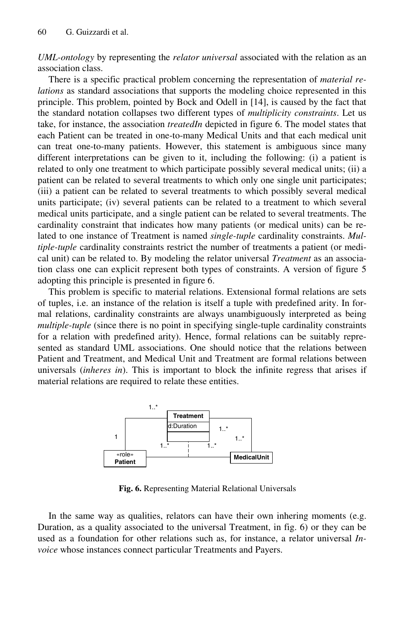*UML-ontology* by representing the *relator universal* associated with the relation as an association class.

There is a specific practical problem concerning the representation of *material relations* as standard associations that supports the modeling choice represented in this principle. This problem, pointed by Bock and Odell in [14], is caused by the fact that the standard notation collapses two different types of *multiplicity constraints*. Let us take, for instance, the association *treatedIn* depicted in figure 6. The model states that each Patient can be treated in one-to-many Medical Units and that each medical unit can treat one-to-many patients. However, this statement is ambiguous since many different interpretations can be given to it, including the following: (i) a patient is related to only one treatment to which participate possibly several medical units; (ii) a patient can be related to several treatments to which only one single unit participates; (iii) a patient can be related to several treatments to which possibly several medical units participate; (iv) several patients can be related to a treatment to which several medical units participate, and a single patient can be related to several treatments. The cardinality constraint that indicates how many patients (or medical units) can be related to one instance of Treatment is named *single-tuple* cardinality constraints. *Multiple-tuple* cardinality constraints restrict the number of treatments a patient (or medical unit) can be related to. By modeling the relator universal *Treatment* as an association class one can explicit represent both types of constraints. A version of figure 5 adopting this principle is presented in figure 6.

This problem is specific to material relations. Extensional formal relations are sets of tuples, i.e. an instance of the relation is itself a tuple with predefined arity. In formal relations, cardinality constraints are always unambiguously interpreted as being *multiple-tuple* (since there is no point in specifying single-tuple cardinality constraints for a relation with predefined arity). Hence, formal relations can be suitably represented as standard UML associations. One should notice that the relations between Patient and Treatment, and Medical Unit and Treatment are formal relations between universals (*inheres in*). This is important to block the infinite regress that arises if material relations are required to relate these entities.



**Fig. 6.** Representing Material Relational Universals

In the same way as qualities, relators can have their own inhering moments (e.g. Duration, as a quality associated to the universal Treatment, in fig. 6) or they can be used as a foundation for other relations such as, for instance, a relator universal *Invoice* whose instances connect particular Treatments and Payers.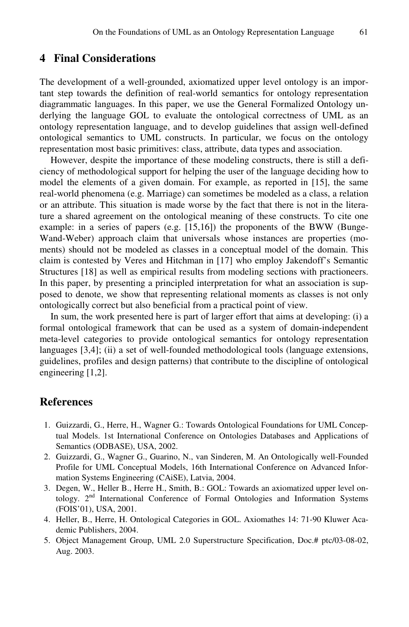# **4 Final Considerations**

The development of a well-grounded, axiomatized upper level ontology is an important step towards the definition of real-world semantics for ontology representation diagrammatic languages. In this paper, we use the General Formalized Ontology underlying the language GOL to evaluate the ontological correctness of UML as an ontology representation language, and to develop guidelines that assign well-defined ontological semantics to UML constructs. In particular, we focus on the ontology representation most basic primitives: class, attribute, data types and association.

However, despite the importance of these modeling constructs, there is still a deficiency of methodological support for helping the user of the language deciding how to model the elements of a given domain. For example, as reported in [15], the same real-world phenomena (e.g. Marriage) can sometimes be modeled as a class, a relation or an attribute. This situation is made worse by the fact that there is not in the literature a shared agreement on the ontological meaning of these constructs. To cite one example: in a series of papers (e.g.  $[15,16]$ ) the proponents of the BWW (Bunge-Wand-Weber) approach claim that universals whose instances are properties (moments) should not be modeled as classes in a conceptual model of the domain. This claim is contested by Veres and Hitchman in [17] who employ Jakendoff's Semantic Structures [18] as well as empirical results from modeling sections with practioneers. In this paper, by presenting a principled interpretation for what an association is supposed to denote, we show that representing relational moments as classes is not only ontologically correct but also beneficial from a practical point of view.

In sum, the work presented here is part of larger effort that aims at developing: (i) a formal ontological framework that can be used as a system of domain-independent meta-level categories to provide ontological semantics for ontology representation languages [3,4]; (ii) a set of well-founded methodological tools (language extensions, guidelines, profiles and design patterns) that contribute to the discipline of ontological engineering [1,2].

## **References**

- 1. Guizzardi, G., Herre, H., Wagner G.: Towards Ontological Foundations for UML Conceptual Models. 1st International Conference on Ontologies Databases and Applications of Semantics (ODBASE), USA, 2002.
- 2. Guizzardi, G., Wagner G., Guarino, N., van Sinderen, M. An Ontologically well-Founded Profile for UML Conceptual Models, 16th International Conference on Advanced Information Systems Engineering (CAiSE), Latvia, 2004.
- 3. Degen, W., Heller B., Herre H., Smith, B.: GOL: Towards an axiomatized upper level ontology.  $2<sup>nd</sup>$  International Conference of Formal Ontologies and Information Systems (FOIS'01), USA, 2001.
- 4. Heller, B., Herre, H. Ontological Categories in GOL. Axiomathes 14: 71-90 Kluwer Academic Publishers, 2004.
- 5. Object Management Group, UML 2.0 Superstructure Specification, Doc.# ptc/03-08-02, Aug. 2003.